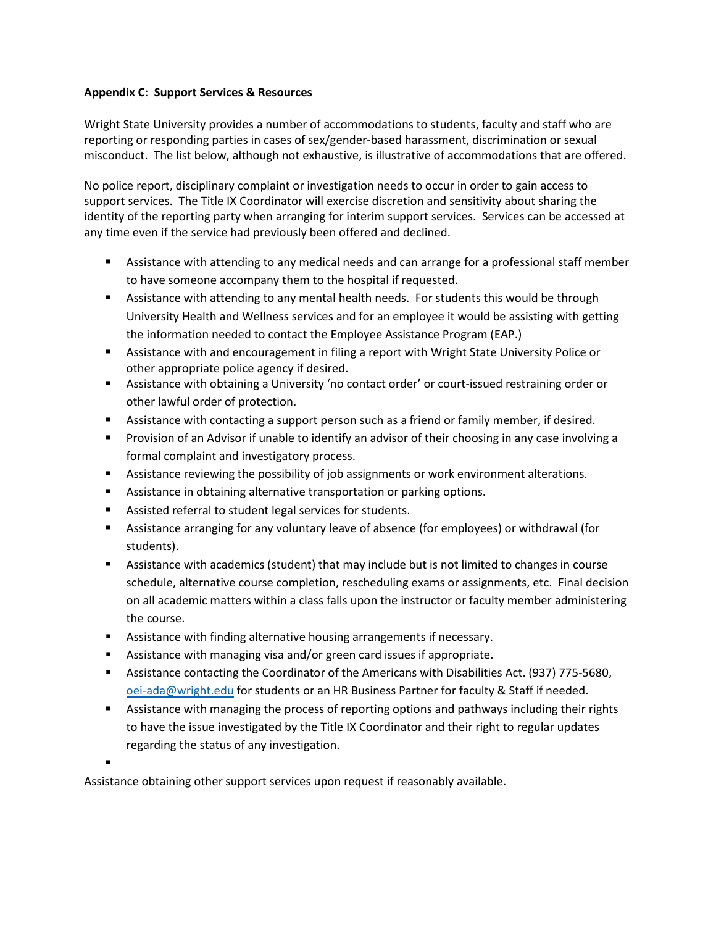## **Appendix C**: **Support Services & Resources**

Wright State University provides a number of accommodations to students, faculty and staff who are reporting or responding parties in cases of sex/gender-based harassment, discrimination or sexual misconduct. The list below, although not exhaustive, is illustrative of accommodations that are offered.

No police report, disciplinary complaint or investigation needs to occur in order to gain access to support services. The Title IX Coordinator will exercise discretion and sensitivity about sharing the identity of the reporting party when arranging for interim support services. Services can be accessed at any time even if the service had previously been offered and declined.

- **EXEL Assistance with attending to any medical needs and can arrange for a professional staff member** to have someone accompany them to the hospital if requested.
- Assistance with attending to any mental health needs. For students this would be through University Health and Wellness services and for an employee it would be assisting with getting the information needed to contact the Employee Assistance Program (EAP.)
- Assistance with and encouragement in filing a report with Wright State University Police or other appropriate police agency if desired.
- Assistance with obtaining a University 'no contact order' or court-issued restraining order or other lawful order of protection.
- Assistance with contacting a support person such as a friend or family member, if desired.
- Provision of an Advisor if unable to identify an advisor of their choosing in any case involving a formal complaint and investigatory process.
- **EXE** Assistance reviewing the possibility of job assignments or work environment alterations.
- **EXECT** Assistance in obtaining alternative transportation or parking options.
- Assisted referral to student legal services for students.
- Assistance arranging for any voluntary leave of absence (for employees) or withdrawal (for students).
- Assistance with academics (student) that may include but is not limited to changes in course schedule, alternative course completion, rescheduling exams or assignments, etc. Final decision on all academic matters within a class falls upon the instructor or faculty member administering the course.
- Assistance with finding alternative housing arrangements if necessary.
- Assistance with managing visa and/or green card issues if appropriate.
- Assistance contacting the Coordinator of the Americans with Disabilities Act. (937) 775-5680, [oei-ada@wright.edu](mailto:oei-ada@wright.edu) for students or an HR Business Partner for faculty & Staff if needed.
- **EXED** Assistance with managing the process of reporting options and pathways including their rights to have the issue investigated by the Title IX Coordinator and their right to regular updates regarding the status of any investigation.

.

Assistance obtaining other support services upon request if reasonably available.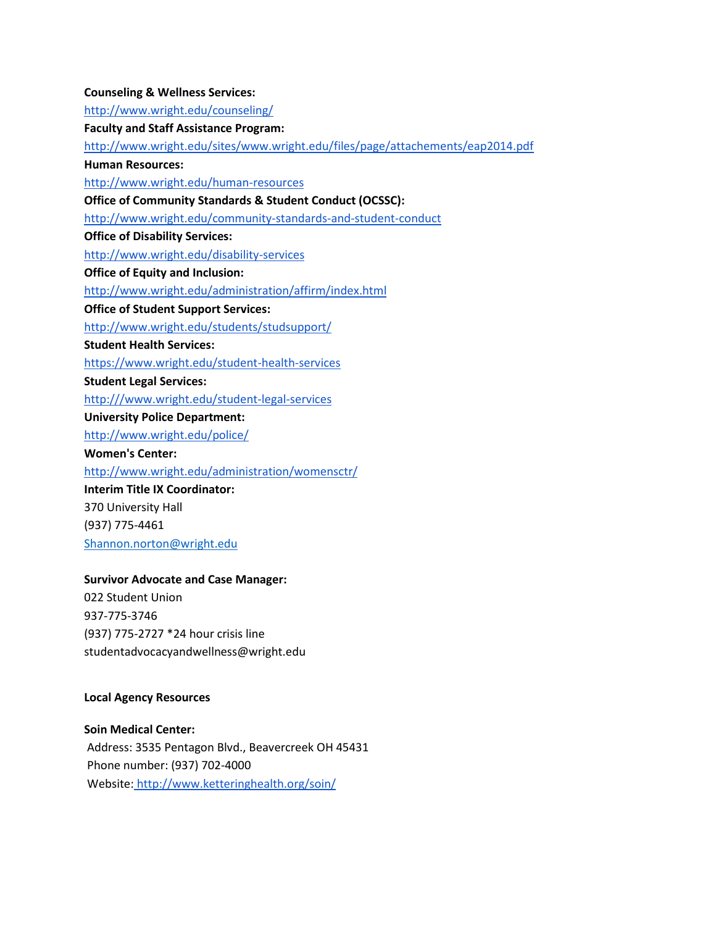**Counseling & Wellness Services:** <http://www.wright.edu/counseling/> **Faculty and Staff Assistance Program:** <http://www.wright.edu/sites/www.wright.edu/files/page/attachements/eap2014.pdf> **Human Resources:** <http://www.wright.edu/human-resources> **Office of Community Standards & Student Conduct (OCSSC):** <http://www.wright.edu/community-standards-and-student-conduct> **Office of Disability Services:** <http://www.wright.edu/disability-services> **Office of Equity and Inclusion:** <http://www.wright.edu/administration/affirm/index.html> **Office of Student Support Services:** <http://www.wright.edu/students/studsupport/> **Student Health Services:** <https://www.wright.edu/student-health-services> **Student Legal Services:** [http:///](https://policy.wright.edu/)[www.wright.edu/student-legal-services](http://www.wright.edu/student-legal-services) **University Police Department:** <http://www.wright.edu/police/> **Women's Center:** <http://www.wright.edu/administration/womensctr/> **Interim Title IX Coordinator:** 370 University Hall (937) 775-4461 [Shannon.norton@wright.edu](mailto:Shannon.norton@wright.edu)

### **Survivor Advocate and Case Manager:**

022 Student Union 937-775-3746 (937) 775-2727 \*24 hour crisis line studentadvocacyandwellness@wright.edu

#### **Local Agency Resources**

**Soin Medical Center:** Address: 3535 Pentagon Blvd., Beavercreek OH 45431 Phone number: (937) 702-4000 Website: <http://www.ketteringhealth.org/soin/>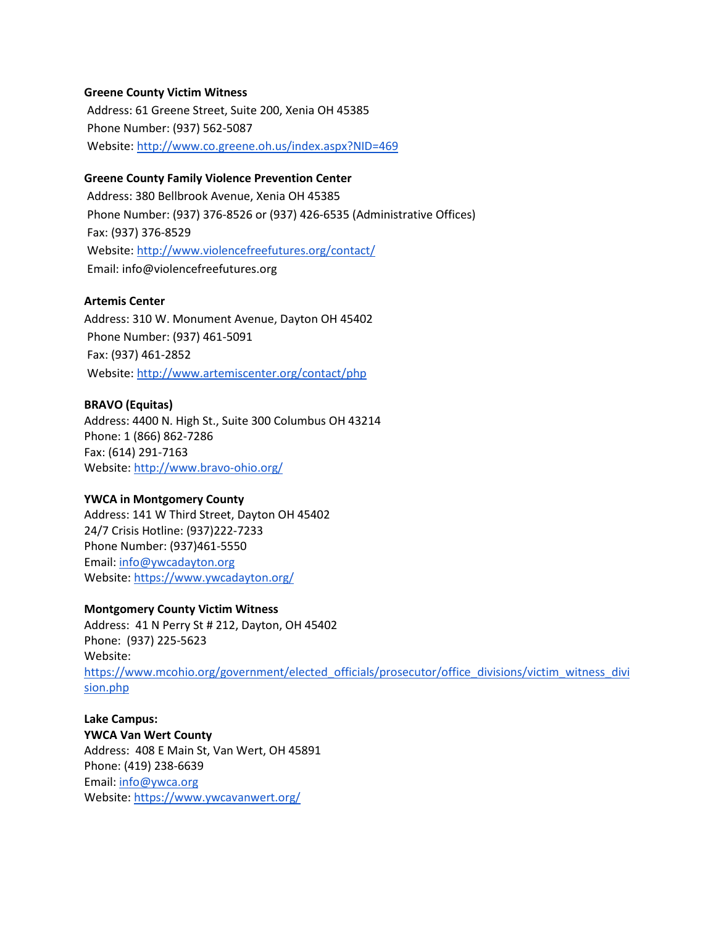## **Greene County Victim Witness**

Address: 61 Greene Street, Suite 200, Xenia OH 45385 Phone Number: (937) 562-5087 Website[:](http://www.co.greene.oh.us/index.aspx?NID=469) <http://www.co.greene.oh.us/index.aspx?NID=469>

### **Greene County Family Violence Prevention Center**

Address: 380 Bellbrook Avenue, Xenia OH 45385 Phone Number: (937) 376-8526 or (937) 426-6535 (Administrative Offices) Fax: (937) 376-8529 Website[:](http://www.violencefreefutures.org/contact/) <http://www.violencefreefutures.org/contact/> Email: info@violencefreefutures.org

## **Artemis Center**

Address: 310 W. Monument Avenue, Dayton OH 45402 Phone Number: (937) 461-5091 Fax: (937) 461-2852 Website[:](http://www.artemiscenter.org/contact.php) <http://www.artemiscenter.org/contact/php>

#### **BRAVO (Equitas)**

Address: 4400 N. High St., Suite 300 Columbus OH 43214 Phone: 1 (866) 862-7286 Fax: (614) 291-7163 Website[: http://www.bravo-ohio.org/](http://www.bravo-ohio.org/)

#### **YWCA in Montgomery County**

Address: 141 W Third Street, Dayton OH 45402 24/7 Crisis Hotline: (937)222-7233 Phone Number: (937)461-5550 Email: [info@ywcadayton.org](mailto:info@ywcadayton.org) Website[: https://www.ywcadayton.org/](https://www.ywcadayton.org/)

#### **Montgomery County Victim Witness**

Address: 41 N Perry St # 212, Dayton, OH 45402 Phone: (937) 225-5623 Website: [https://www.mcohio.org/government/elected\\_officials/prosecutor/office\\_divisions/victim\\_witness\\_divi](https://www.mcohio.org/government/elected_officials/prosecutor/office_divisions/victim_witness_division.php) [sion.php](https://www.mcohio.org/government/elected_officials/prosecutor/office_divisions/victim_witness_division.php)

**Lake Campus: YWCA Van Wert County** Address: 408 E Main St, Van Wert, OH 45891 Phone: (419) 238-6639 Email: [info@ywca.org](mailto:info@ywca.org) Website[: https://www.ywcavanwert.org/](https://www.ywcavanwert.org/)